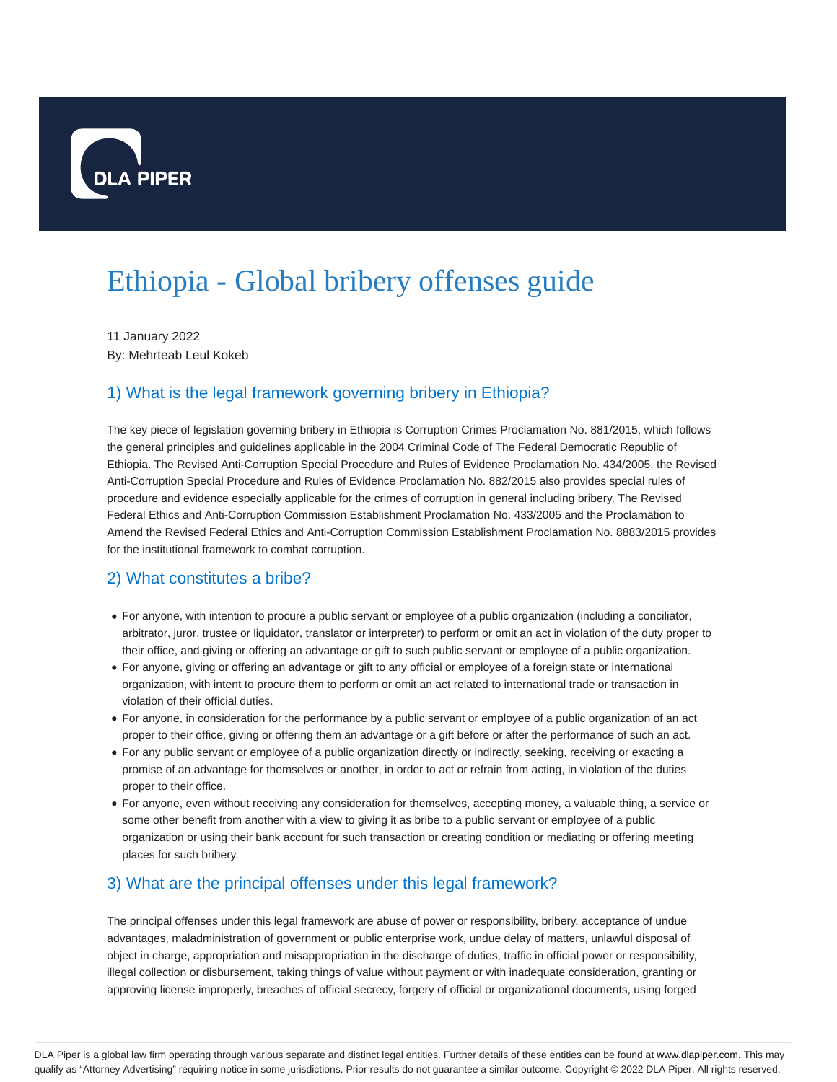

# Ethiopia - Global bribery offenses guide

11 January 2022 By: Mehrteab Leul Kokeb

# 1) What is the legal framework governing bribery in Ethiopia?

The key piece of legislation governing bribery in Ethiopia is Corruption Crimes Proclamation No. 881/2015, which follows the general principles and guidelines applicable in the 2004 Criminal Code of The Federal Democratic Republic of Ethiopia. The Revised Anti-Corruption Special Procedure and Rules of Evidence Proclamation No. 434/2005, the Revised Anti-Corruption Special Procedure and Rules of Evidence Proclamation No. 882/2015 also provides special rules of procedure and evidence especially applicable for the crimes of corruption in general including bribery. The Revised Federal Ethics and Anti-Corruption Commission Establishment Proclamation No. 433/2005 and the Proclamation to Amend the Revised Federal Ethics and Anti-Corruption Commission Establishment Proclamation No. 8883/2015 provides for the institutional framework to combat corruption.

# 2) What constitutes a bribe?

- For anyone, with intention to procure a public servant or employee of a public organization (including a conciliator, arbitrator, juror, trustee or liquidator, translator or interpreter) to perform or omit an act in violation of the duty proper to their office, and giving or offering an advantage or gift to such public servant or employee of a public organization.
- For anyone, giving or offering an advantage or gift to any official or employee of a foreign state or international organization, with intent to procure them to perform or omit an act related to international trade or transaction in violation of their official duties.
- For anyone, in consideration for the performance by a public servant or employee of a public organization of an act proper to their office, giving or offering them an advantage or a gift before or after the performance of such an act.
- For any public servant or employee of a public organization directly or indirectly, seeking, receiving or exacting a promise of an advantage for themselves or another, in order to act or refrain from acting, in violation of the duties proper to their office.
- For anyone, even without receiving any consideration for themselves, accepting money, a valuable thing, a service or some other benefit from another with a view to giving it as bribe to a public servant or employee of a public organization or using their bank account for such transaction or creating condition or mediating or offering meeting places for such bribery.

# 3) What are the principal offenses under this legal framework?

The principal offenses under this legal framework are abuse of power or responsibility, bribery, acceptance of undue advantages, maladministration of government or public enterprise work, undue delay of matters, unlawful disposal of object in charge, appropriation and misappropriation in the discharge of duties, traffic in official power or responsibility, illegal collection or disbursement, taking things of value without payment or with inadequate consideration, granting or approving license improperly, breaches of official secrecy, forgery of official or organizational documents, using forged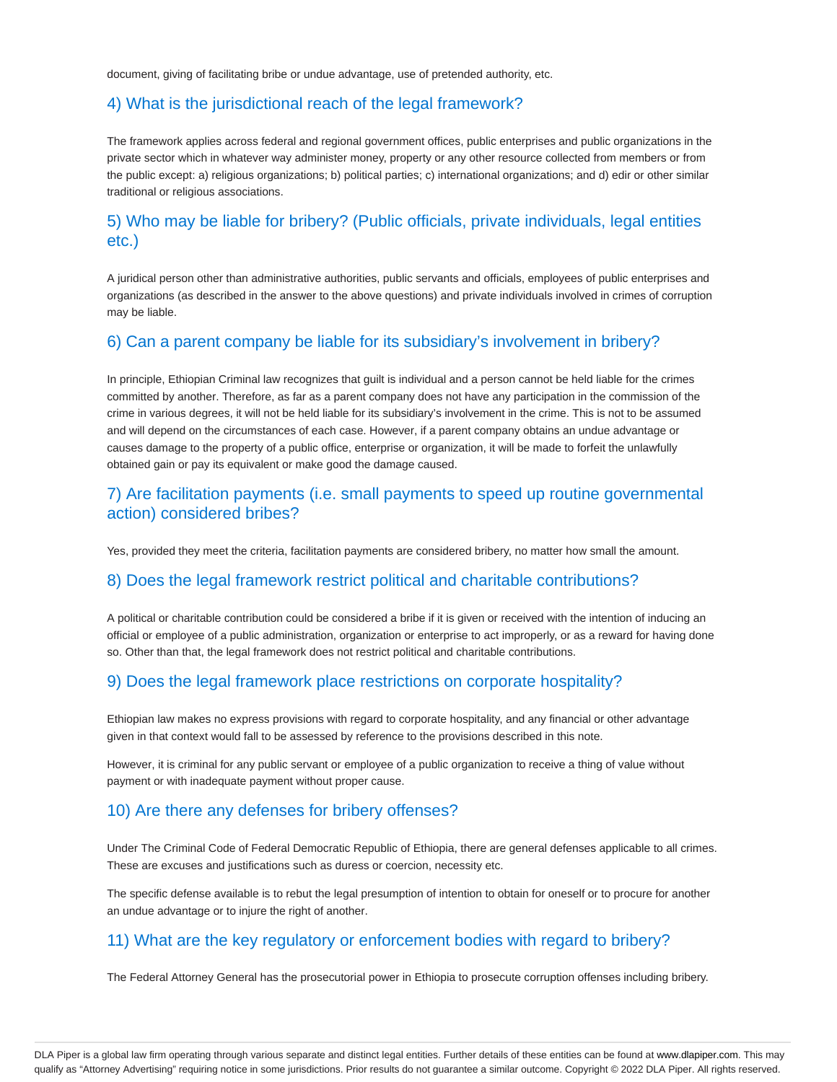document, giving of facilitating bribe or undue advantage, use of pretended authority, etc.

#### 4) What is the jurisdictional reach of the legal framework?

The framework applies across federal and regional government offices, public enterprises and public organizations in the private sector which in whatever way administer money, property or any other resource collected from members or from the public except: a) religious organizations; b) political parties; c) international organizations; and d) edir or other similar traditional or religious associations.

# 5) Who may be liable for bribery? (Public officials, private individuals, legal entities etc.)

A juridical person other than administrative authorities, public servants and officials, employees of public enterprises and organizations (as described in the answer to the above questions) and private individuals involved in crimes of corruption may be liable.

#### 6) Can a parent company be liable for its subsidiary's involvement in bribery?

In principle, Ethiopian Criminal law recognizes that guilt is individual and a person cannot be held liable for the crimes committed by another. Therefore, as far as a parent company does not have any participation in the commission of the crime in various degrees, it will not be held liable for its subsidiary's involvement in the crime. This is not to be assumed and will depend on the circumstances of each case. However, if a parent company obtains an undue advantage or causes damage to the property of a public office, enterprise or organization, it will be made to forfeit the unlawfully obtained gain or pay its equivalent or make good the damage caused.

# 7) Are facilitation payments (i.e. small payments to speed up routine governmental action) considered bribes?

Yes, provided they meet the criteria, facilitation payments are considered bribery, no matter how small the amount.

#### 8) Does the legal framework restrict political and charitable contributions?

A political or charitable contribution could be considered a bribe if it is given or received with the intention of inducing an official or employee of a public administration, organization or enterprise to act improperly, or as a reward for having done so. Other than that, the legal framework does not restrict political and charitable contributions.

#### 9) Does the legal framework place restrictions on corporate hospitality?

Ethiopian law makes no express provisions with regard to corporate hospitality, and any financial or other advantage given in that context would fall to be assessed by reference to the provisions described in this note.

However, it is criminal for any public servant or employee of a public organization to receive a thing of value without payment or with inadequate payment without proper cause.

#### 10) Are there any defenses for bribery offenses?

Under The Criminal Code of Federal Democratic Republic of Ethiopia, there are general defenses applicable to all crimes. These are excuses and justifications such as duress or coercion, necessity etc.

The specific defense available is to rebut the legal presumption of intention to obtain for oneself or to procure for another an undue advantage or to injure the right of another.

# 11) What are the key regulatory or enforcement bodies with regard to bribery?

The Federal Attorney General has the prosecutorial power in Ethiopia to prosecute corruption offenses including bribery.